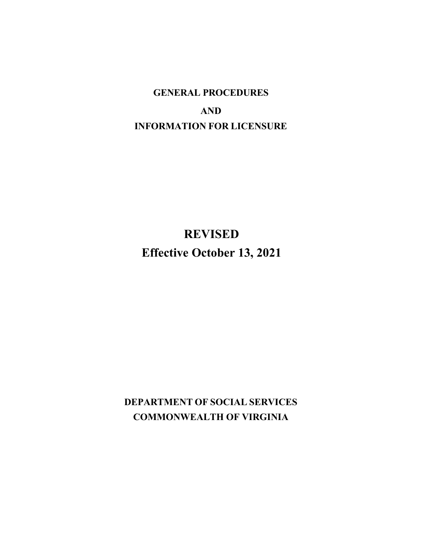# **GENERAL PROCEDURES AND INFORMATION FOR LICENSURE**

# **REVISED Effective October 13, 2021**

**DEPARTMENT OF SOCIAL SERVICES COMMONWEALTH OF VIRGINIA**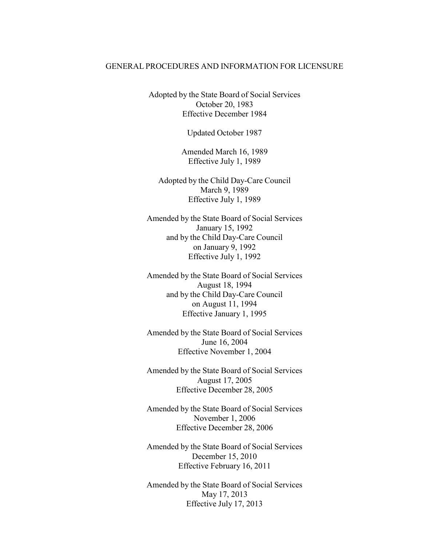#### GENERAL PROCEDURES AND INFORMATION FOR LICENSURE

Adopted by the State Board of Social Services October 20, 1983 Effective December 1984

Updated October 1987

Amended March 16, 1989 Effective July 1, 1989

Adopted by the Child Day-Care Council March 9, 1989 Effective July 1, 1989

Amended by the State Board of Social Services January 15, 1992 and by the Child Day-Care Council on January 9, 1992 Effective July 1, 1992

Amended by the State Board of Social Services August 18, 1994 and by the Child Day-Care Council on August 11, 1994 Effective January 1, 1995

Amended by the State Board of Social Services June 16, 2004 Effective November 1, 2004

Amended by the State Board of Social Services August 17, 2005 Effective December 28, 2005

Amended by the State Board of Social Services November 1, 2006 Effective December 28, 2006

Amended by the State Board of Social Services December 15, 2010 Effective February 16, 2011

Amended by the State Board of Social Services May 17, 2013 Effective July 17, 2013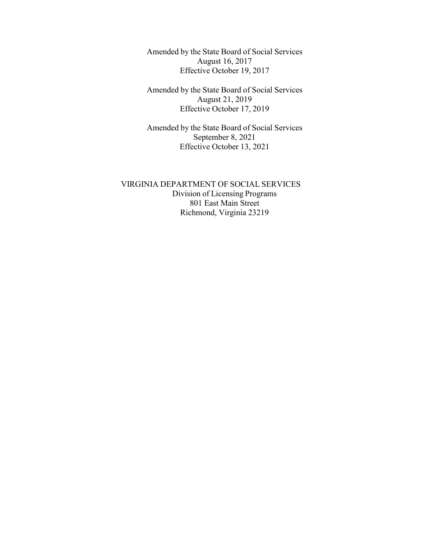Amended by the State Board of Social Services August 16, 2017 Effective October 19, 2017

Amended by the State Board of Social Services August 21, 2019 Effective October 17, 2019

Amended by the State Board of Social Services September 8, 2021 Effective October 13, 2021

VIRGINIA DEPARTMENT OF SOCIAL SERVICES Division of Licensing Programs 801 East Main Street Richmond, Virginia 23219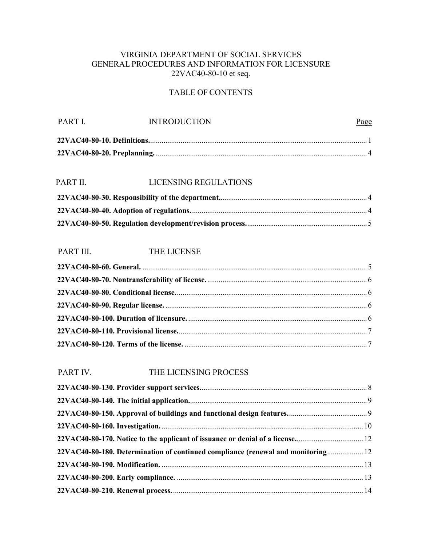## VIRGINIA DEPARTMENT OF SOCIAL SERVICES GENERAL PROCEDURES AND INFORMATION FOR LICENSURE 22VAC40-80-10 et seq.

## TABLE OF CONTENTS

| PART L | <b>INTRODUCTION</b> | Page |
|--------|---------------------|------|
|        |                     |      |
|        |                     |      |

# PART II. LICENSING REGULATIONS

## PART III. THE LICENSE

## PART IV. THE LICENSING PROCESS

| 22VAC40-80-180. Determination of continued compliance (renewal and monitoring 12 |  |
|----------------------------------------------------------------------------------|--|
|                                                                                  |  |
|                                                                                  |  |
|                                                                                  |  |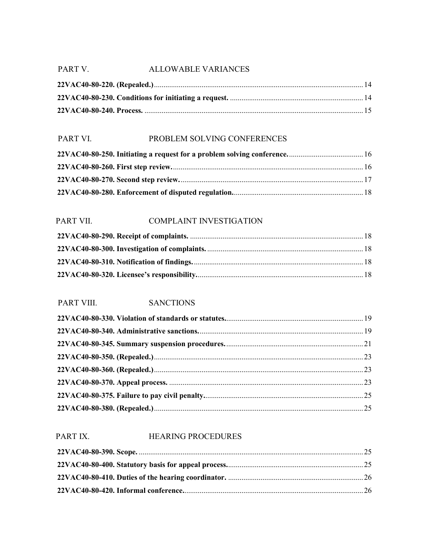## PART V. ALLOWABLE VARIANCES

## PART VI. PROBLEM SOLVING CONFERENCES

## PART VII. COMPLAINT INVESTIGATION

## PART VIII. SANCTIONS

## PART IX. HEARING PROCEDURES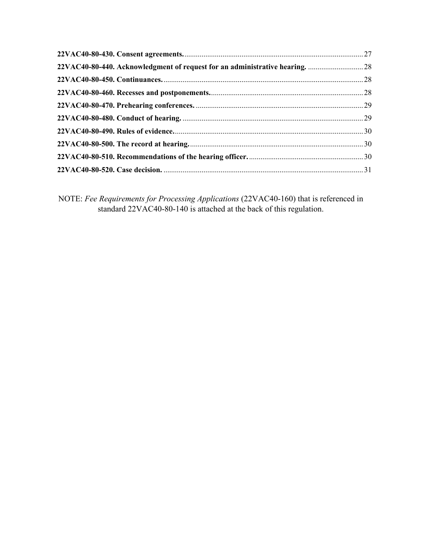NOTE: *Fee Requirements for Processing Applications* (22VAC40-160) that is referenced in standard 22VAC40-80-140 is attached at the back of this regulation.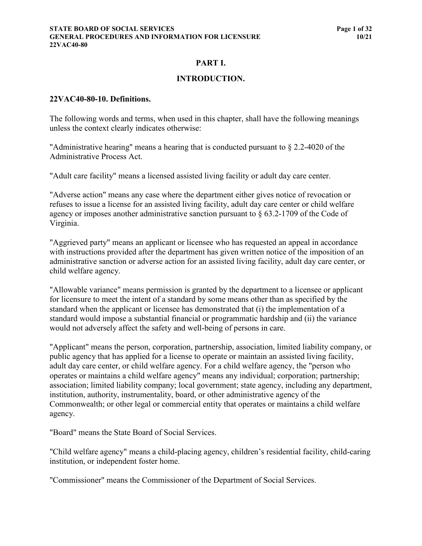#### **PART I.**

#### **INTRODUCTION.**

#### <span id="page-6-0"></span>**22VAC40-80-10. Definitions.**

The following words and terms, when used in this chapter, shall have the following meanings unless the context clearly indicates otherwise:

"Administrative hearing" means a hearing that is conducted pursuant to § 2.2-4020 of the Administrative Process Act.

"Adult care facility" means a licensed assisted living facility or adult day care center.

"Adverse action" means any case where the department either gives notice of revocation or refuses to issue a license for an assisted living facility, adult day care center or child welfare agency or imposes another administrative sanction pursuant to § 63.2-1709 of the Code of Virginia.

"Aggrieved party" means an applicant or licensee who has requested an appeal in accordance with instructions provided after the department has given written notice of the imposition of an administrative sanction or adverse action for an assisted living facility, adult day care center, or child welfare agency.

"Allowable variance" means permission is granted by the department to a licensee or applicant for licensure to meet the intent of a standard by some means other than as specified by the standard when the applicant or licensee has demonstrated that (i) the implementation of a standard would impose a substantial financial or programmatic hardship and (ii) the variance would not adversely affect the safety and well-being of persons in care.

"Applicant" means the person, corporation, partnership, association, limited liability company, or public agency that has applied for a license to operate or maintain an assisted living facility, adult day care center, or child welfare agency. For a child welfare agency, the "person who operates or maintains a child welfare agency" means any individual; corporation; partnership; association; limited liability company; local government; state agency, including any department, institution, authority, instrumentality, board, or other administrative agency of the Commonwealth; or other legal or commercial entity that operates or maintains a child welfare agency.

"Board" means the State Board of Social Services.

"Child welfare agency" means a child-placing agency, children's residential facility, child-caring institution, or independent foster home.

"Commissioner" means the Commissioner of the Department of Social Services.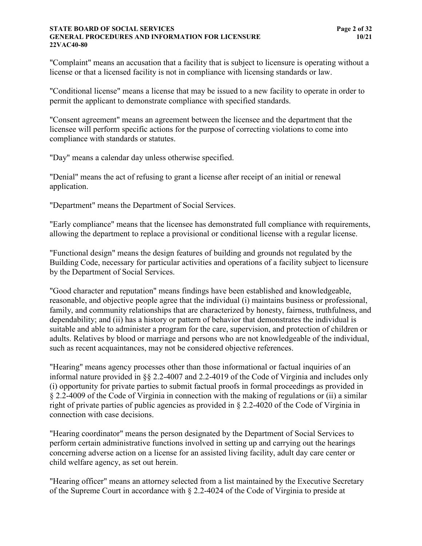#### **STATE BOARD OF SOCIAL SERVICES Page 2 of 32 GENERAL PROCEDURES AND INFORMATION FOR LICENSURE 10/21 22VAC40-80**

"Complaint" means an accusation that a facility that is subject to licensure is operating without a license or that a licensed facility is not in compliance with licensing standards or law.

"Conditional license" means a license that may be issued to a new facility to operate in order to permit the applicant to demonstrate compliance with specified standards.

"Consent agreement" means an agreement between the licensee and the department that the licensee will perform specific actions for the purpose of correcting violations to come into compliance with standards or statutes.

"Day" means a calendar day unless otherwise specified.

"Denial" means the act of refusing to grant a license after receipt of an initial or renewal application.

"Department" means the Department of Social Services.

"Early compliance" means that the licensee has demonstrated full compliance with requirements, allowing the department to replace a provisional or conditional license with a regular license.

"Functional design" means the design features of building and grounds not regulated by the Building Code, necessary for particular activities and operations of a facility subject to licensure by the Department of Social Services.

"Good character and reputation" means findings have been established and knowledgeable, reasonable, and objective people agree that the individual (i) maintains business or professional, family, and community relationships that are characterized by honesty, fairness, truthfulness, and dependability; and (ii) has a history or pattern of behavior that demonstrates the individual is suitable and able to administer a program for the care, supervision, and protection of children or adults. Relatives by blood or marriage and persons who are not knowledgeable of the individual, such as recent acquaintances, may not be considered objective references.

"Hearing" means agency processes other than those informational or factual inquiries of an informal nature provided in §§ 2.2-4007 and 2.2-4019 of the Code of Virginia and includes only (i) opportunity for private parties to submit factual proofs in formal proceedings as provided in § 2.2-4009 of the Code of Virginia in connection with the making of regulations or (ii) a similar right of private parties of public agencies as provided in § 2.2-4020 of the Code of Virginia in connection with case decisions.

"Hearing coordinator" means the person designated by the Department of Social Services to perform certain administrative functions involved in setting up and carrying out the hearings concerning adverse action on a license for an assisted living facility, adult day care center or child welfare agency, as set out herein.

"Hearing officer" means an attorney selected from a list maintained by the Executive Secretary of the Supreme Court in accordance with § 2.2-4024 of the Code of Virginia to preside at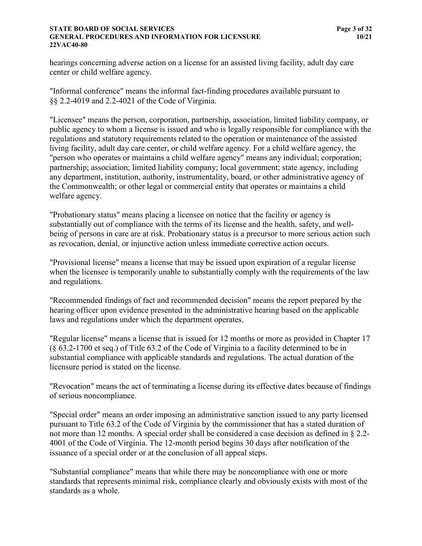#### **STATE BOARD OF SOCIAL SERVICES Page 3 of 32 GENERAL PROCEDURES AND INFORMATION FOR LICENSURE 10/21 22VAC40-80**

hearings concerning adverse action on a license for an assisted living facility, adult day care center or child welfare agency.

"Informal conference" means the informal fact-finding procedures available pursuant to §§ 2.2-4019 and 2.2-4021 of the Code of Virginia.

"Licensee" means the person, corporation, partnership, association, limited liability company, or public agency to whom a license is issued and who is legally responsible for compliance with the regulations and statutory requirements related to the operation or maintenance of the assisted living facility, adult day care center, or child welfare agency. For a child welfare agency, the "person who operates or maintains a child welfare agency" means any individual; corporation; partnership; association; limited liability company; local government; state agency, including any department, institution, authority, instrumentality, board, or other administrative agency of the Commonwealth; or other legal or commercial entity that operates or maintains a child welfare agency.

"Probationary status" means placing a licensee on notice that the facility or agency is substantially out of compliance with the terms of its license and the health, safety, and wellbeing of persons in care are at risk. Probationary status is a precursor to more serious action such as revocation, denial, or injunctive action unless immediate corrective action occurs.

"Provisional license" means a license that may be issued upon expiration of a regular license when the licensee is temporarily unable to substantially comply with the requirements of the law and regulations.

"Recommended findings of fact and recommended decision" means the report prepared by the hearing officer upon evidence presented in the administrative hearing based on the applicable laws and regulations under which the department operates.

"Regular license" means a license that is issued for 12 months or more as provided in Chapter 17 (§ 63.2-1700 et seq.) of Title 63.2 of the Code of Virginia to a facility determined to be in substantial compliance with applicable standards and regulations. The actual duration of the licensure period is stated on the license.

"Revocation" means the act of terminating a license during its effective dates because of findings of serious noncompliance.

"Special order" means an order imposing an administrative sanction issued to any party licensed pursuant to Title 63.2 of the Code of Virginia by the commissioner that has a stated duration of not more than 12 months. A special order shall be considered a case decision as defined in § 2.2- 4001 of the Code of Virginia. The 12-month period begins 30 days after notification of the issuance of a special order or at the conclusion of all appeal steps.

"Substantial compliance" means that while there may be noncompliance with one or more standards that represents minimal risk, compliance clearly and obviously exists with most of the standards as a whole.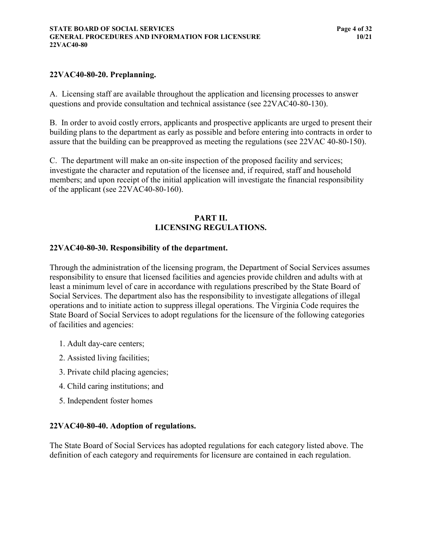#### <span id="page-9-0"></span>**22VAC40-80-20. Preplanning.**

A. Licensing staff are available throughout the application and licensing processes to answer questions and provide consultation and technical assistance (see 22VAC40-80-130).

B. In order to avoid costly errors, applicants and prospective applicants are urged to present their building plans to the department as early as possible and before entering into contracts in order to assure that the building can be preapproved as meeting the regulations (see 22VAC 40-80-150).

C. The department will make an on-site inspection of the proposed facility and services; investigate the character and reputation of the licensee and, if required, staff and household members; and upon receipt of the initial application will investigate the financial responsibility of the applicant (see 22VAC40-80-160).

#### **PART II. LICENSING REGULATIONS.**

#### <span id="page-9-1"></span>**22VAC40-80-30. Responsibility of the department.**

Through the administration of the licensing program, the Department of Social Services assumes responsibility to ensure that licensed facilities and agencies provide children and adults with at least a minimum level of care in accordance with regulations prescribed by the State Board of Social Services. The department also has the responsibility to investigate allegations of illegal operations and to initiate action to suppress illegal operations. The Virginia Code requires the State Board of Social Services to adopt regulations for the licensure of the following categories of facilities and agencies:

- 1. Adult day-care centers;
- 2. Assisted living facilities;
- 3. Private child placing agencies;
- 4. Child caring institutions; and
- 5. Independent foster homes

#### <span id="page-9-2"></span>**22VAC40-80-40. Adoption of regulations.**

<span id="page-9-3"></span>The State Board of Social Services has adopted regulations for each category listed above. The definition of each category and requirements for licensure are contained in each regulation.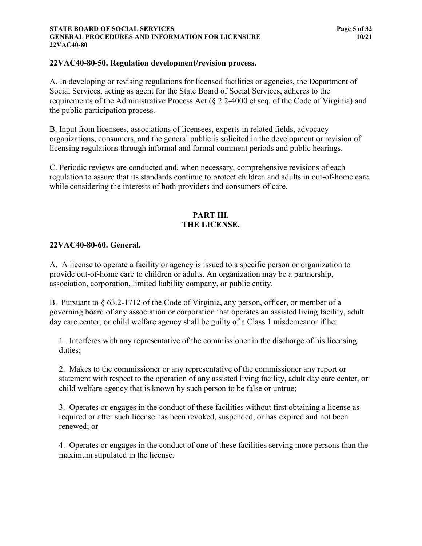#### **STATE BOARD OF SOCIAL SERVICES Page 5 of 32 GENERAL PROCEDURES AND INFORMATION FOR LICENSURE 10/21 22VAC40-80**

#### **22VAC40-80-50. Regulation development/revision process.**

A. In developing or revising regulations for licensed facilities or agencies, the Department of Social Services, acting as agent for the State Board of Social Services, adheres to the requirements of the Administrative Process Act (§ 2.2-4000 et seq. of the Code of Virginia) and the public participation process.

B. Input from licensees, associations of licensees, experts in related fields, advocacy organizations, consumers, and the general public is solicited in the development or revision of licensing regulations through informal and formal comment periods and public hearings.

C. Periodic reviews are conducted and, when necessary, comprehensive revisions of each regulation to assure that its standards continue to protect children and adults in out-of-home care while considering the interests of both providers and consumers of care.

## **PART III. THE LICENSE.**

#### <span id="page-10-0"></span>**22VAC40-80-60. General.**

A. A license to operate a facility or agency is issued to a specific person or organization to provide out-of-home care to children or adults. An organization may be a partnership, association, corporation, limited liability company, or public entity.

B. Pursuant to § 63.2-1712 of the Code of Virginia, any person, officer, or member of a governing board of any association or corporation that operates an assisted living facility, adult day care center, or child welfare agency shall be guilty of a Class 1 misdemeanor if he:

1. Interferes with any representative of the commissioner in the discharge of his licensing duties;

2. Makes to the commissioner or any representative of the commissioner any report or statement with respect to the operation of any assisted living facility, adult day care center, or child welfare agency that is known by such person to be false or untrue;

3. Operates or engages in the conduct of these facilities without first obtaining a license as required or after such license has been revoked, suspended, or has expired and not been renewed; or

4. Operates or engages in the conduct of one of these facilities serving more persons than the maximum stipulated in the license.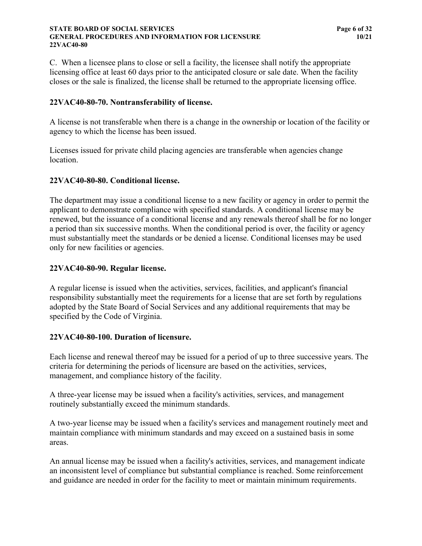#### **STATE BOARD OF SOCIAL SERVICES Page 6 of 32 GENERAL PROCEDURES AND INFORMATION FOR LICENSURE 10/21 22VAC40-80**

C. When a licensee plans to close or sell a facility, the licensee shall notify the appropriate licensing office at least 60 days prior to the anticipated closure or sale date. When the facility closes or the sale is finalized, the license shall be returned to the appropriate licensing office.

#### <span id="page-11-0"></span>**22VAC40-80-70. Nontransferability of license.**

A license is not transferable when there is a change in the ownership or location of the facility or agency to which the license has been issued.

Licenses issued for private child placing agencies are transferable when agencies change location.

#### <span id="page-11-1"></span>**22VAC40-80-80. Conditional license.**

The department may issue a conditional license to a new facility or agency in order to permit the applicant to demonstrate compliance with specified standards. A conditional license may be renewed, but the issuance of a conditional license and any renewals thereof shall be for no longer a period than six successive months. When the conditional period is over, the facility or agency must substantially meet the standards or be denied a license. Conditional licenses may be used only for new facilities or agencies.

## <span id="page-11-2"></span>**22VAC40-80-90. Regular license.**

A regular license is issued when the activities, services, facilities, and applicant's financial responsibility substantially meet the requirements for a license that are set forth by regulations adopted by the State Board of Social Services and any additional requirements that may be specified by the Code of Virginia.

#### <span id="page-11-3"></span>**22VAC40-80-100. Duration of licensure.**

Each license and renewal thereof may be issued for a period of up to three successive years. The criteria for determining the periods of licensure are based on the activities, services, management, and compliance history of the facility.

A three-year license may be issued when a facility's activities, services, and management routinely substantially exceed the minimum standards.

A two-year license may be issued when a facility's services and management routinely meet and maintain compliance with minimum standards and may exceed on a sustained basis in some areas.

<span id="page-11-4"></span>An annual license may be issued when a facility's activities, services, and management indicate an inconsistent level of compliance but substantial compliance is reached. Some reinforcement and guidance are needed in order for the facility to meet or maintain minimum requirements.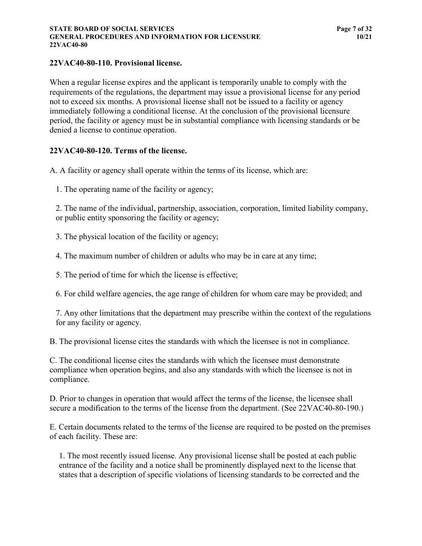## **22VAC40-80-110. Provisional license.**

When a regular license expires and the applicant is temporarily unable to comply with the requirements of the regulations, the department may issue a provisional license for any period not to exceed six months. A provisional license shall not be issued to a facility or agency immediately following a conditional license. At the conclusion of the provisional licensure period, the facility or agency must be in substantial compliance with licensing standards or be denied a license to continue operation.

#### <span id="page-12-0"></span>**22VAC40-80-120. Terms of the license.**

A. A facility or agency shall operate within the terms of its license, which are:

1. The operating name of the facility or agency;

2. The name of the individual, partnership, association, corporation, limited liability company, or public entity sponsoring the facility or agency;

3. The physical location of the facility or agency;

4. The maximum number of children or adults who may be in care at any time;

5. The period of time for which the license is effective;

6. For child welfare agencies, the age range of children for whom care may be provided; and

7. Any other limitations that the department may prescribe within the context of the regulations for any facility or agency.

B. The provisional license cites the standards with which the licensee is not in compliance.

C. The conditional license cites the standards with which the licensee must demonstrate compliance when operation begins, and also any standards with which the licensee is not in compliance.

D. Prior to changes in operation that would affect the terms of the license, the licensee shall secure a modification to the terms of the license from the department. (See 22VAC40-80-190.)

E. Certain documents related to the terms of the license are required to be posted on the premises of each facility. These are:

1. The most recently issued license. Any provisional license shall be posted at each public entrance of the facility and a notice shall be prominently displayed next to the license that states that a description of specific violations of licensing standards to be corrected and the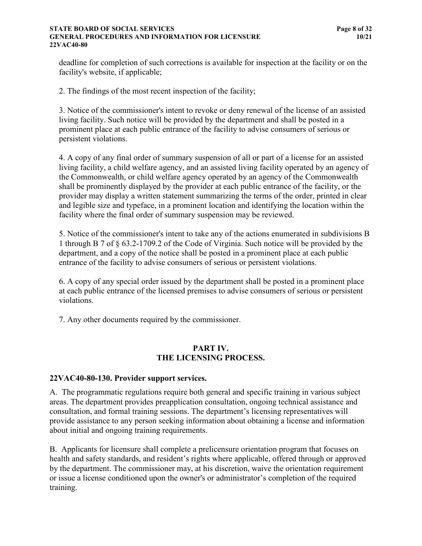#### **STATE BOARD OF SOCIAL SERVICES Page 8 of 32 GENERAL PROCEDURES AND INFORMATION FOR LICENSURE 10/21 22VAC40-80**

deadline for completion of such corrections is available for inspection at the facility or on the facility's website, if applicable;

2. The findings of the most recent inspection of the facility;

3. Notice of the commissioner's intent to revoke or deny renewal of the license of an assisted living facility. Such notice will be provided by the department and shall be posted in a prominent place at each public entrance of the facility to advise consumers of serious or persistent violations.

4. A copy of any final order of summary suspension of all or part of a license for an assisted living facility, a child welfare agency, and an assisted living facility operated by an agency of the Commonwealth, or child welfare agency operated by an agency of the Commonwealth shall be prominently displayed by the provider at each public entrance of the facility, or the provider may display a written statement summarizing the terms of the order, printed in clear and legible size and typeface, in a prominent location and identifying the location within the facility where the final order of summary suspension may be reviewed.

5. Notice of the commissioner's intent to take any of the actions enumerated in subdivisions B 1 through B 7 of § 63.2-1709.2 of the Code of Virginia. Such notice will be provided by the department, and a copy of the notice shall be posted in a prominent place at each public entrance of the facility to advise consumers of serious or persistent violations.

6. A copy of any special order issued by the department shall be posted in a prominent place at each public entrance of the licensed premises to advise consumers of serious or persistent violations.

7. Any other documents required by the commissioner.

#### **PART IV. THE LICENSING PROCESS.**

#### <span id="page-13-0"></span>**22VAC40-80-130. Provider support services.**

A. The programmatic regulations require both general and specific training in various subject areas. The department provides preapplication consultation, ongoing technical assistance and consultation, and formal training sessions. The department's licensing representatives will provide assistance to any person seeking information about obtaining a license and information about initial and ongoing training requirements.

B. Applicants for licensure shall complete a prelicensure orientation program that focuses on health and safety standards, and resident's rights where applicable, offered through or approved by the department. The commissioner may, at his discretion, waive the orientation requirement or issue a license conditioned upon the owner's or administrator's completion of the required training.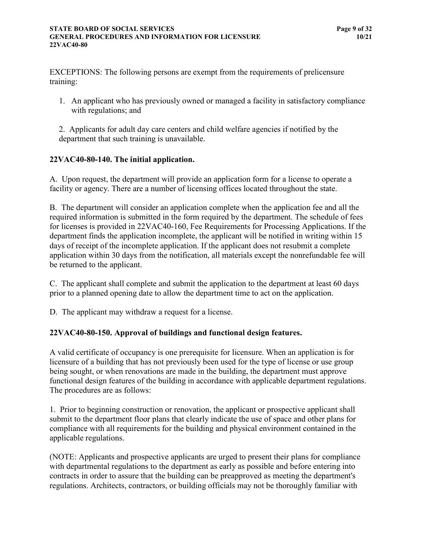EXCEPTIONS: The following persons are exempt from the requirements of prelicensure training:

- 1. An applicant who has previously owned or managed a facility in satisfactory compliance with regulations; and
- 2. Applicants for adult day care centers and child welfare agencies if notified by the department that such training is unavailable.

## <span id="page-14-0"></span>**22VAC40-80-140. The initial application.**

A. Upon request, the department will provide an application form for a license to operate a facility or agency. There are a number of licensing offices located throughout the state.

B. The department will consider an application complete when the application fee and all the required information is submitted in the form required by the department. The schedule of fees for licenses is provided in 22VAC40-160, Fee Requirements for Processing Applications. If the department finds the application incomplete, the applicant will be notified in writing within 15 days of receipt of the incomplete application. If the applicant does not resubmit a complete application within 30 days from the notification, all materials except the nonrefundable fee will be returned to the applicant.

C. The applicant shall complete and submit the application to the department at least 60 days prior to a planned opening date to allow the department time to act on the application.

D. The applicant may withdraw a request for a license.

## <span id="page-14-1"></span>**22VAC40-80-150. Approval of buildings and functional design features.**

A valid certificate of occupancy is one prerequisite for licensure. When an application is for licensure of a building that has not previously been used for the type of license or use group being sought, or when renovations are made in the building, the department must approve functional design features of the building in accordance with applicable department regulations. The procedures are as follows:

1. Prior to beginning construction or renovation, the applicant or prospective applicant shall submit to the department floor plans that clearly indicate the use of space and other plans for compliance with all requirements for the building and physical environment contained in the applicable regulations.

(NOTE: Applicants and prospective applicants are urged to present their plans for compliance with departmental regulations to the department as early as possible and before entering into contracts in order to assure that the building can be preapproved as meeting the department's regulations. Architects, contractors, or building officials may not be thoroughly familiar with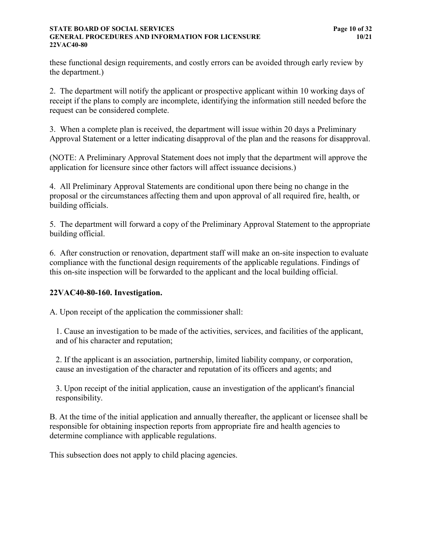#### **STATE BOARD OF SOCIAL SERVICES Page 10 of 32 GENERAL PROCEDURES AND INFORMATION FOR LICENSURE 10/21 22VAC40-80**

these functional design requirements, and costly errors can be avoided through early review by the department.)

2. The department will notify the applicant or prospective applicant within 10 working days of receipt if the plans to comply are incomplete, identifying the information still needed before the request can be considered complete.

3. When a complete plan is received, the department will issue within 20 days a Preliminary Approval Statement or a letter indicating disapproval of the plan and the reasons for disapproval.

(NOTE: A Preliminary Approval Statement does not imply that the department will approve the application for licensure since other factors will affect issuance decisions.)

4. All Preliminary Approval Statements are conditional upon there being no change in the proposal or the circumstances affecting them and upon approval of all required fire, health, or building officials.

5. The department will forward a copy of the Preliminary Approval Statement to the appropriate building official.

6. After construction or renovation, department staff will make an on-site inspection to evaluate compliance with the functional design requirements of the applicable regulations. Findings of this on-site inspection will be forwarded to the applicant and the local building official.

## <span id="page-15-0"></span>**22VAC40-80-160. Investigation.**

A. Upon receipt of the application the commissioner shall:

1. Cause an investigation to be made of the activities, services, and facilities of the applicant, and of his character and reputation;

2. If the applicant is an association, partnership, limited liability company, or corporation, cause an investigation of the character and reputation of its officers and agents; and

3. Upon receipt of the initial application, cause an investigation of the applicant's financial responsibility.

B. At the time of the initial application and annually thereafter, the applicant or licensee shall be responsible for obtaining inspection reports from appropriate fire and health agencies to determine compliance with applicable regulations.

This subsection does not apply to child placing agencies.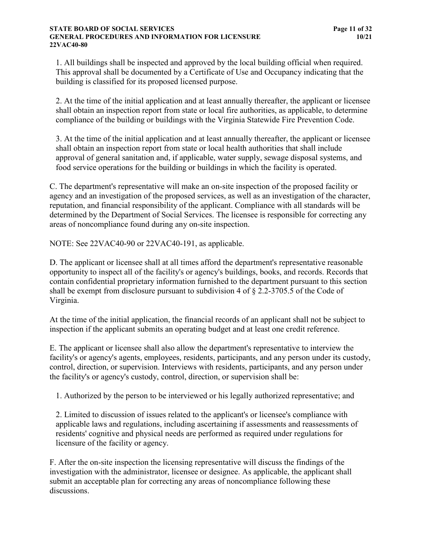#### **STATE BOARD OF SOCIAL SERVICES Page 11 of 32 GENERAL PROCEDURES AND INFORMATION FOR LICENSURE 10/21 22VAC40-80**

1. All buildings shall be inspected and approved by the local building official when required. This approval shall be documented by a Certificate of Use and Occupancy indicating that the building is classified for its proposed licensed purpose.

2. At the time of the initial application and at least annually thereafter, the applicant or licensee shall obtain an inspection report from state or local fire authorities, as applicable, to determine compliance of the building or buildings with the Virginia Statewide Fire Prevention Code.

3. At the time of the initial application and at least annually thereafter, the applicant or licensee shall obtain an inspection report from state or local health authorities that shall include approval of general sanitation and, if applicable, water supply, sewage disposal systems, and food service operations for the building or buildings in which the facility is operated.

C. The department's representative will make an on-site inspection of the proposed facility or agency and an investigation of the proposed services, as well as an investigation of the character, reputation, and financial responsibility of the applicant. Compliance with all standards will be determined by the Department of Social Services. The licensee is responsible for correcting any areas of noncompliance found during any on-site inspection.

NOTE: See 22VAC40-90 or 22VAC40-191, as applicable.

D. The applicant or licensee shall at all times afford the department's representative reasonable opportunity to inspect all of the facility's or agency's buildings, books, and records. Records that contain confidential proprietary information furnished to the department pursuant to this section shall be exempt from disclosure pursuant to subdivision 4 of § 2.2-3705.5 of the Code of Virginia.

At the time of the initial application, the financial records of an applicant shall not be subject to inspection if the applicant submits an operating budget and at least one credit reference.

E. The applicant or licensee shall also allow the department's representative to interview the facility's or agency's agents, employees, residents, participants, and any person under its custody, control, direction, or supervision. Interviews with residents, participants, and any person under the facility's or agency's custody, control, direction, or supervision shall be:

1. Authorized by the person to be interviewed or his legally authorized representative; and

2. Limited to discussion of issues related to the applicant's or licensee's compliance with applicable laws and regulations, including ascertaining if assessments and reassessments of residents' cognitive and physical needs are performed as required under regulations for licensure of the facility or agency.

F. After the on-site inspection the licensing representative will discuss the findings of the investigation with the administrator, licensee or designee. As applicable, the applicant shall submit an acceptable plan for correcting any areas of noncompliance following these discussions.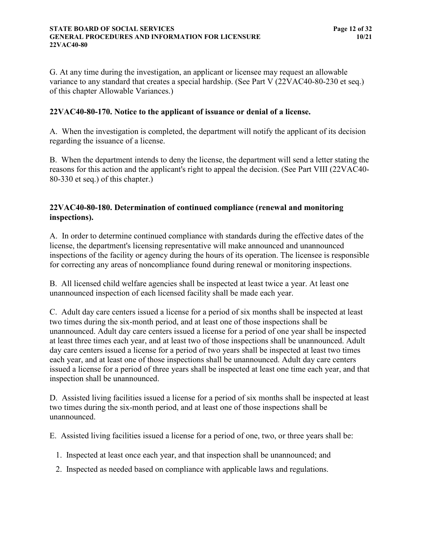G. At any time during the investigation, an applicant or licensee may request an allowable variance to any standard that creates a special hardship. (See Part V (22VAC40-80-230 et seq.) of this chapter Allowable Variances.)

#### <span id="page-17-0"></span>**22VAC40-80-170. Notice to the applicant of issuance or denial of a license.**

A. When the investigation is completed, the department will notify the applicant of its decision regarding the issuance of a license.

B. When the department intends to deny the license, the department will send a letter stating the reasons for this action and the applicant's right to appeal the decision. (See Part VIII (22VAC40- 80-330 et seq.) of this chapter.)

## <span id="page-17-1"></span>**22VAC40-80-180. Determination of continued compliance (renewal and monitoring inspections).**

A. In order to determine continued compliance with standards during the effective dates of the license, the department's licensing representative will make announced and unannounced inspections of the facility or agency during the hours of its operation. The licensee is responsible for correcting any areas of noncompliance found during renewal or monitoring inspections.

B. All licensed child welfare agencies shall be inspected at least twice a year. At least one unannounced inspection of each licensed facility shall be made each year.

C. Adult day care centers issued a license for a period of six months shall be inspected at least two times during the six-month period, and at least one of those inspections shall be unannounced. Adult day care centers issued a license for a period of one year shall be inspected at least three times each year, and at least two of those inspections shall be unannounced. Adult day care centers issued a license for a period of two years shall be inspected at least two times each year, and at least one of those inspections shall be unannounced. Adult day care centers issued a license for a period of three years shall be inspected at least one time each year, and that inspection shall be unannounced.

D. Assisted living facilities issued a license for a period of six months shall be inspected at least two times during the six-month period, and at least one of those inspections shall be unannounced.

E. Assisted living facilities issued a license for a period of one, two, or three years shall be:

- 1. Inspected at least once each year, and that inspection shall be unannounced; and
- 2. Inspected as needed based on compliance with applicable laws and regulations.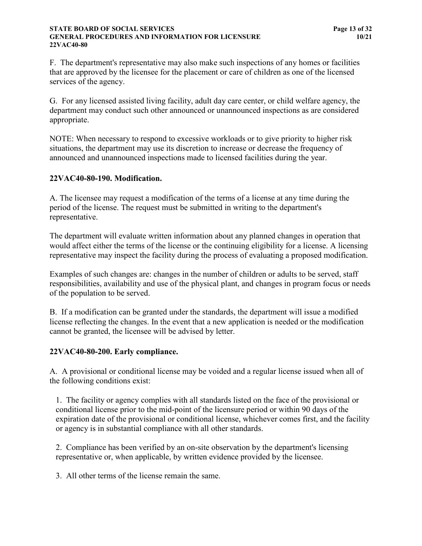#### **STATE BOARD OF SOCIAL SERVICES Page 13 of 32 GENERAL PROCEDURES AND INFORMATION FOR LICENSURE 10/21 22VAC40-80**

F. The department's representative may also make such inspections of any homes or facilities that are approved by the licensee for the placement or care of children as one of the licensed services of the agency.

G. For any licensed assisted living facility, adult day care center, or child welfare agency, the department may conduct such other announced or unannounced inspections as are considered appropriate.

NOTE: When necessary to respond to excessive workloads or to give priority to higher risk situations, the department may use its discretion to increase or decrease the frequency of announced and unannounced inspections made to licensed facilities during the year.

#### <span id="page-18-0"></span>**22VAC40-80-190. Modification.**

A. The licensee may request a modification of the terms of a license at any time during the period of the license. The request must be submitted in writing to the department's representative.

The department will evaluate written information about any planned changes in operation that would affect either the terms of the license or the continuing eligibility for a license. A licensing representative may inspect the facility during the process of evaluating a proposed modification.

Examples of such changes are: changes in the number of children or adults to be served, staff responsibilities, availability and use of the physical plant, and changes in program focus or needs of the population to be served.

B. If a modification can be granted under the standards, the department will issue a modified license reflecting the changes. In the event that a new application is needed or the modification cannot be granted, the licensee will be advised by letter.

#### <span id="page-18-1"></span>**22VAC40-80-200. Early compliance.**

A. A provisional or conditional license may be voided and a regular license issued when all of the following conditions exist:

1. The facility or agency complies with all standards listed on the face of the provisional or conditional license prior to the mid-point of the licensure period or within 90 days of the expiration date of the provisional or conditional license, whichever comes first, and the facility or agency is in substantial compliance with all other standards.

2. Compliance has been verified by an on-site observation by the department's licensing representative or, when applicable, by written evidence provided by the licensee.

3. All other terms of the license remain the same.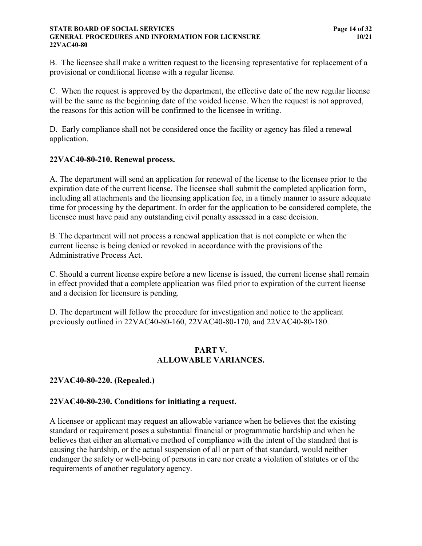#### **STATE BOARD OF SOCIAL SERVICES Page 14 of 32 GENERAL PROCEDURES AND INFORMATION FOR LICENSURE 10/21 22VAC40-80**

B. The licensee shall make a written request to the licensing representative for replacement of a provisional or conditional license with a regular license.

C. When the request is approved by the department, the effective date of the new regular license will be the same as the beginning date of the voided license. When the request is not approved, the reasons for this action will be confirmed to the licensee in writing.

D. Early compliance shall not be considered once the facility or agency has filed a renewal application.

## <span id="page-19-0"></span>**22VAC40-80-210. Renewal process.**

A. The department will send an application for renewal of the license to the licensee prior to the expiration date of the current license. The licensee shall submit the completed application form, including all attachments and the licensing application fee, in a timely manner to assure adequate time for processing by the department. In order for the application to be considered complete, the licensee must have paid any outstanding civil penalty assessed in a case decision.

B. The department will not process a renewal application that is not complete or when the current license is being denied or revoked in accordance with the provisions of the Administrative Process Act.

C. Should a current license expire before a new license is issued, the current license shall remain in effect provided that a complete application was filed prior to expiration of the current license and a decision for licensure is pending.

D. The department will follow the procedure for investigation and notice to the applicant previously outlined in 22VAC40-80-160, 22VAC40-80-170, and 22VAC40-80-180.

#### **PART V. ALLOWABLE VARIANCES.**

#### <span id="page-19-1"></span>**22VAC40-80-220. (Repealed.)**

#### <span id="page-19-2"></span>**22VAC40-80-230. Conditions for initiating a request.**

A licensee or applicant may request an allowable variance when he believes that the existing standard or requirement poses a substantial financial or programmatic hardship and when he believes that either an alternative method of compliance with the intent of the standard that is causing the hardship, or the actual suspension of all or part of that standard, would neither endanger the safety or well-being of persons in care nor create a violation of statutes or of the requirements of another regulatory agency.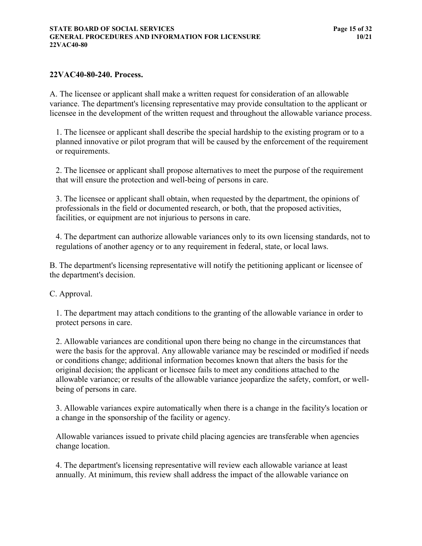#### <span id="page-20-0"></span>**22VAC40-80-240. Process.**

A. The licensee or applicant shall make a written request for consideration of an allowable variance. The department's licensing representative may provide consultation to the applicant or licensee in the development of the written request and throughout the allowable variance process.

1. The licensee or applicant shall describe the special hardship to the existing program or to a planned innovative or pilot program that will be caused by the enforcement of the requirement or requirements.

2. The licensee or applicant shall propose alternatives to meet the purpose of the requirement that will ensure the protection and well-being of persons in care.

3. The licensee or applicant shall obtain, when requested by the department, the opinions of professionals in the field or documented research, or both, that the proposed activities, facilities, or equipment are not injurious to persons in care.

4. The department can authorize allowable variances only to its own licensing standards, not to regulations of another agency or to any requirement in federal, state, or local laws.

B. The department's licensing representative will notify the petitioning applicant or licensee of the department's decision.

#### C. Approval.

1. The department may attach conditions to the granting of the allowable variance in order to protect persons in care.

2. Allowable variances are conditional upon there being no change in the circumstances that were the basis for the approval. Any allowable variance may be rescinded or modified if needs or conditions change; additional information becomes known that alters the basis for the original decision; the applicant or licensee fails to meet any conditions attached to the allowable variance; or results of the allowable variance jeopardize the safety, comfort, or wellbeing of persons in care.

3. Allowable variances expire automatically when there is a change in the facility's location or a change in the sponsorship of the facility or agency.

Allowable variances issued to private child placing agencies are transferable when agencies change location.

4. The department's licensing representative will review each allowable variance at least annually. At minimum, this review shall address the impact of the allowable variance on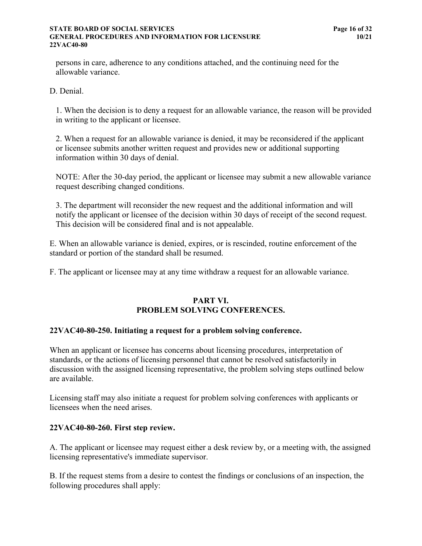#### **STATE BOARD OF SOCIAL SERVICES Page 16 of 32 GENERAL PROCEDURES AND INFORMATION FOR LICENSURE 10/21 22VAC40-80**

persons in care, adherence to any conditions attached, and the continuing need for the allowable variance.

D. Denial.

1. When the decision is to deny a request for an allowable variance, the reason will be provided in writing to the applicant or licensee.

2. When a request for an allowable variance is denied, it may be reconsidered if the applicant or licensee submits another written request and provides new or additional supporting information within 30 days of denial.

NOTE: After the 30-day period, the applicant or licensee may submit a new allowable variance request describing changed conditions.

3. The department will reconsider the new request and the additional information and will notify the applicant or licensee of the decision within 30 days of receipt of the second request. This decision will be considered final and is not appealable.

E. When an allowable variance is denied, expires, or is rescinded, routine enforcement of the standard or portion of the standard shall be resumed.

F. The applicant or licensee may at any time withdraw a request for an allowable variance.

## **PART VI. PROBLEM SOLVING CONFERENCES.**

#### <span id="page-21-0"></span>**22VAC40-80-250. Initiating a request for a problem solving conference.**

When an applicant or licensee has concerns about licensing procedures, interpretation of standards, or the actions of licensing personnel that cannot be resolved satisfactorily in discussion with the assigned licensing representative, the problem solving steps outlined below are available.

Licensing staff may also initiate a request for problem solving conferences with applicants or licensees when the need arises.

## <span id="page-21-1"></span>**22VAC40-80-260. First step review.**

A. The applicant or licensee may request either a desk review by, or a meeting with, the assigned licensing representative's immediate supervisor.

B. If the request stems from a desire to contest the findings or conclusions of an inspection, the following procedures shall apply: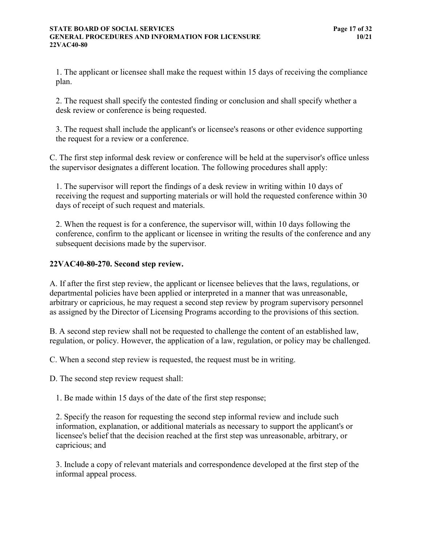1. The applicant or licensee shall make the request within 15 days of receiving the compliance plan.

2. The request shall specify the contested finding or conclusion and shall specify whether a desk review or conference is being requested.

3. The request shall include the applicant's or licensee's reasons or other evidence supporting the request for a review or a conference.

C. The first step informal desk review or conference will be held at the supervisor's office unless the supervisor designates a different location. The following procedures shall apply:

1. The supervisor will report the findings of a desk review in writing within 10 days of receiving the request and supporting materials or will hold the requested conference within 30 days of receipt of such request and materials.

2. When the request is for a conference, the supervisor will, within 10 days following the conference, confirm to the applicant or licensee in writing the results of the conference and any subsequent decisions made by the supervisor.

## <span id="page-22-0"></span>**22VAC40-80-270. Second step review.**

A. If after the first step review, the applicant or licensee believes that the laws, regulations, or departmental policies have been applied or interpreted in a manner that was unreasonable, arbitrary or capricious, he may request a second step review by program supervisory personnel as assigned by the Director of Licensing Programs according to the provisions of this section.

B. A second step review shall not be requested to challenge the content of an established law, regulation, or policy. However, the application of a law, regulation, or policy may be challenged.

C. When a second step review is requested, the request must be in writing.

D. The second step review request shall:

1. Be made within 15 days of the date of the first step response;

2. Specify the reason for requesting the second step informal review and include such information, explanation, or additional materials as necessary to support the applicant's or licensee's belief that the decision reached at the first step was unreasonable, arbitrary, or capricious; and

3. Include a copy of relevant materials and correspondence developed at the first step of the informal appeal process.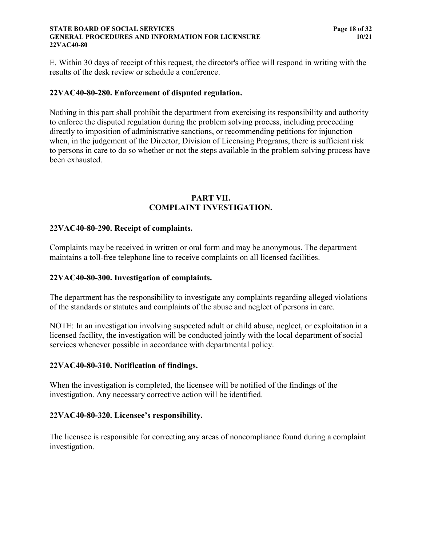#### **STATE BOARD OF SOCIAL SERVICES Page 18 of 32 GENERAL PROCEDURES AND INFORMATION FOR LICENSURE 10/21 22VAC40-80**

E. Within 30 days of receipt of this request, the director's office will respond in writing with the results of the desk review or schedule a conference.

#### <span id="page-23-0"></span>**22VAC40-80-280. Enforcement of disputed regulation.**

Nothing in this part shall prohibit the department from exercising its responsibility and authority to enforce the disputed regulation during the problem solving process, including proceeding directly to imposition of administrative sanctions, or recommending petitions for injunction when, in the judgement of the Director, Division of Licensing Programs, there is sufficient risk to persons in care to do so whether or not the steps available in the problem solving process have been exhausted.

#### **PART VII. COMPLAINT INVESTIGATION.**

#### <span id="page-23-1"></span>**22VAC40-80-290. Receipt of complaints.**

Complaints may be received in written or oral form and may be anonymous. The department maintains a toll-free telephone line to receive complaints on all licensed facilities.

#### <span id="page-23-2"></span>**22VAC40-80-300. Investigation of complaints.**

The department has the responsibility to investigate any complaints regarding alleged violations of the standards or statutes and complaints of the abuse and neglect of persons in care.

NOTE: In an investigation involving suspected adult or child abuse, neglect, or exploitation in a licensed facility, the investigation will be conducted jointly with the local department of social services whenever possible in accordance with departmental policy.

#### <span id="page-23-3"></span>**22VAC40-80-310. Notification of findings.**

When the investigation is completed, the licensee will be notified of the findings of the investigation. Any necessary corrective action will be identified.

#### <span id="page-23-4"></span>**22VAC40-80-320. Licensee's responsibility.**

The licensee is responsible for correcting any areas of noncompliance found during a complaint investigation.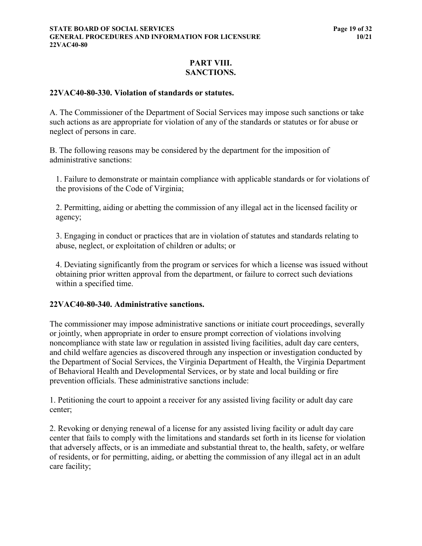## **PART VIII. SANCTIONS.**

#### <span id="page-24-0"></span>**22VAC40-80-330. Violation of standards or statutes.**

A. The Commissioner of the Department of Social Services may impose such sanctions or take such actions as are appropriate for violation of any of the standards or statutes or for abuse or neglect of persons in care.

B. The following reasons may be considered by the department for the imposition of administrative sanctions:

1. Failure to demonstrate or maintain compliance with applicable standards or for violations of the provisions of the Code of Virginia;

2. Permitting, aiding or abetting the commission of any illegal act in the licensed facility or agency;

3. Engaging in conduct or practices that are in violation of statutes and standards relating to abuse, neglect, or exploitation of children or adults; or

4. Deviating significantly from the program or services for which a license was issued without obtaining prior written approval from the department, or failure to correct such deviations within a specified time.

#### <span id="page-24-1"></span>**22VAC40-80-340. Administrative sanctions.**

The commissioner may impose administrative sanctions or initiate court proceedings, severally or jointly, when appropriate in order to ensure prompt correction of violations involving noncompliance with state law or regulation in assisted living facilities, adult day care centers, and child welfare agencies as discovered through any inspection or investigation conducted by the Department of Social Services, the Virginia Department of Health, the Virginia Department of Behavioral Health and Developmental Services, or by state and local building or fire prevention officials. These administrative sanctions include:

1. Petitioning the court to appoint a receiver for any assisted living facility or adult day care center;

2. Revoking or denying renewal of a license for any assisted living facility or adult day care center that fails to comply with the limitations and standards set forth in its license for violation that adversely affects, or is an immediate and substantial threat to, the health, safety, or welfare of residents, or for permitting, aiding, or abetting the commission of any illegal act in an adult care facility;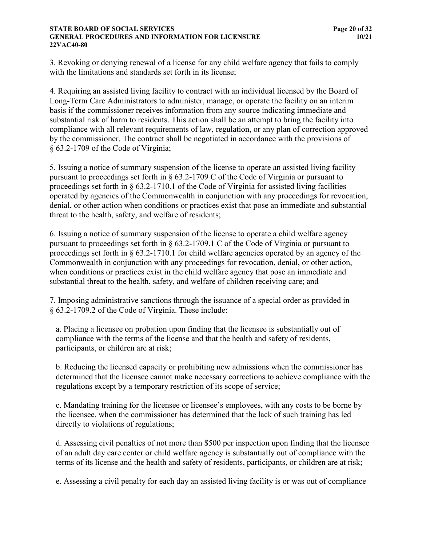#### **STATE BOARD OF SOCIAL SERVICES Page 20 of 32 GENERAL PROCEDURES AND INFORMATION FOR LICENSURE 10/21 22VAC40-80**

3. Revoking or denying renewal of a license for any child welfare agency that fails to comply with the limitations and standards set forth in its license;

4. Requiring an assisted living facility to contract with an individual licensed by the Board of Long-Term Care Administrators to administer, manage, or operate the facility on an interim basis if the commissioner receives information from any source indicating immediate and substantial risk of harm to residents. This action shall be an attempt to bring the facility into compliance with all relevant requirements of law, regulation, or any plan of correction approved by the commissioner. The contract shall be negotiated in accordance with the provisions of § 63.2-1709 of the Code of Virginia;

5. Issuing a notice of summary suspension of the license to operate an assisted living facility pursuant to proceedings set forth in § 63.2-1709 C of the Code of Virginia or pursuant to proceedings set forth in § 63.2-1710.1 of the Code of Virginia for assisted living facilities operated by agencies of the Commonwealth in conjunction with any proceedings for revocation, denial, or other action when conditions or practices exist that pose an immediate and substantial threat to the health, safety, and welfare of residents;

6. Issuing a notice of summary suspension of the license to operate a child welfare agency pursuant to proceedings set forth in § 63.2-1709.1 C of the Code of Virginia or pursuant to proceedings set forth in § 63.2-1710.1 for child welfare agencies operated by an agency of the Commonwealth in conjunction with any proceedings for revocation, denial, or other action, when conditions or practices exist in the child welfare agency that pose an immediate and substantial threat to the health, safety, and welfare of children receiving care; and

7. Imposing administrative sanctions through the issuance of a special order as provided in § 63.2-1709.2 of the Code of Virginia. These include:

a. Placing a licensee on probation upon finding that the licensee is substantially out of compliance with the terms of the license and that the health and safety of residents, participants, or children are at risk;

b. Reducing the licensed capacity or prohibiting new admissions when the commissioner has determined that the licensee cannot make necessary corrections to achieve compliance with the regulations except by a temporary restriction of its scope of service;

c. Mandating training for the licensee or licensee's employees, with any costs to be borne by the licensee, when the commissioner has determined that the lack of such training has led directly to violations of regulations;

d. Assessing civil penalties of not more than \$500 per inspection upon finding that the licensee of an adult day care center or child welfare agency is substantially out of compliance with the terms of its license and the health and safety of residents, participants, or children are at risk;

e. Assessing a civil penalty for each day an assisted living facility is or was out of compliance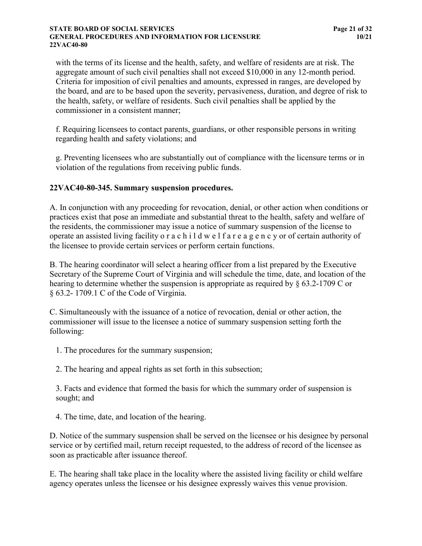#### **STATE BOARD OF SOCIAL SERVICES Page 21 of 32 GENERAL PROCEDURES AND INFORMATION FOR LICENSURE 10/21 22VAC40-80**

with the terms of its license and the health, safety, and welfare of residents are at risk. The aggregate amount of such civil penalties shall not exceed \$10,000 in any 12-month period. Criteria for imposition of civil penalties and amounts, expressed in ranges, are developed by the board, and are to be based upon the severity, pervasiveness, duration, and degree of risk to the health, safety, or welfare of residents. Such civil penalties shall be applied by the commissioner in a consistent manner;

f. Requiring licensees to contact parents, guardians, or other responsible persons in writing regarding health and safety violations; and

g. Preventing licensees who are substantially out of compliance with the licensure terms or in violation of the regulations from receiving public funds.

#### <span id="page-26-0"></span>**22VAC40-80-345. Summary suspension procedures.**

A. In conjunction with any proceeding for revocation, denial, or other action when conditions or practices exist that pose an immediate and substantial threat to the health, safety and welfare of the residents, the commissioner may issue a notice of summary suspension of the license to operate an assisted living facility o r a c h i l d w e l f a r e a g e n c y or of certain authority of the licensee to provide certain services or perform certain functions.

B. The hearing coordinator will select a hearing officer from a list prepared by the Executive Secretary of the Supreme Court of Virginia and will schedule the time, date, and location of the hearing to determine whether the suspension is appropriate as required by § 63.2-1709 C or § 63.2- 1709.1 C of the Code of Virginia.

C. Simultaneously with the issuance of a notice of revocation, denial or other action, the commissioner will issue to the licensee a notice of summary suspension setting forth the following:

1. The procedures for the summary suspension;

2. The hearing and appeal rights as set forth in this subsection;

3. Facts and evidence that formed the basis for which the summary order of suspension is sought; and

4. The time, date, and location of the hearing.

D. Notice of the summary suspension shall be served on the licensee or his designee by personal service or by certified mail, return receipt requested, to the address of record of the licensee as soon as practicable after issuance thereof.

E. The hearing shall take place in the locality where the assisted living facility or child welfare agency operates unless the licensee or his designee expressly waives this venue provision.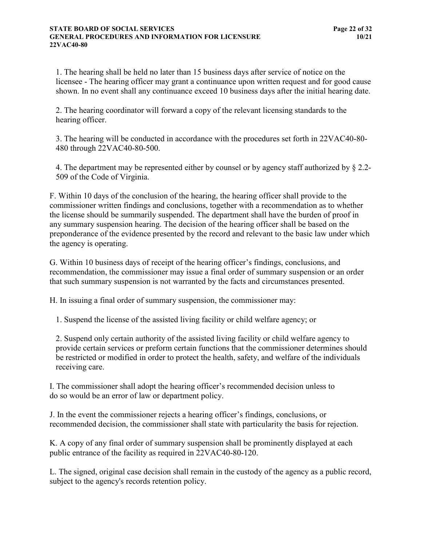#### **STATE BOARD OF SOCIAL SERVICES Page 22 of 32 GENERAL PROCEDURES AND INFORMATION FOR LICENSURE 10/21 22VAC40-80**

1. The hearing shall be held no later than 15 business days after service of notice on the licensee - The hearing officer may grant a continuance upon written request and for good cause shown. In no event shall any continuance exceed 10 business days after the initial hearing date.

2. The hearing coordinator will forward a copy of the relevant licensing standards to the hearing officer.

3. The hearing will be conducted in accordance with the procedures set forth in 22VAC40-80- 480 through 22VAC40-80-500.

4. The department may be represented either by counsel or by agency staff authorized by § 2.2- 509 of the Code of Virginia.

F. Within 10 days of the conclusion of the hearing, the hearing officer shall provide to the commissioner written findings and conclusions, together with a recommendation as to whether the license should be summarily suspended. The department shall have the burden of proof in any summary suspension hearing. The decision of the hearing officer shall be based on the preponderance of the evidence presented by the record and relevant to the basic law under which the agency is operating.

G. Within 10 business days of receipt of the hearing officer's findings, conclusions, and recommendation, the commissioner may issue a final order of summary suspension or an order that such summary suspension is not warranted by the facts and circumstances presented.

H. In issuing a final order of summary suspension, the commissioner may:

1. Suspend the license of the assisted living facility or child welfare agency; or

2. Suspend only certain authority of the assisted living facility or child welfare agency to provide certain services or preform certain functions that the commissioner determines should be restricted or modified in order to protect the health, safety, and welfare of the individuals receiving care.

I. The commissioner shall adopt the hearing officer's recommended decision unless to do so would be an error of law or department policy.

J. In the event the commissioner rejects a hearing officer's findings, conclusions, or recommended decision, the commissioner shall state with particularity the basis for rejection.

K. A copy of any final order of summary suspension shall be prominently displayed at each public entrance of the facility as required in 22VAC40-80-120.

L. The signed, original case decision shall remain in the custody of the agency as a public record, subject to the agency's records retention policy.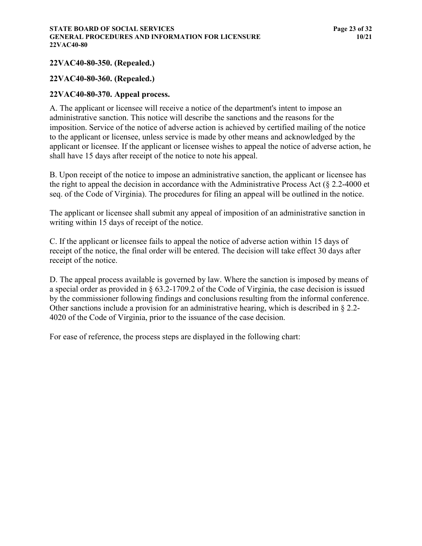## <span id="page-28-0"></span>**22VAC40-80-350. (Repealed.)**

#### <span id="page-28-1"></span>**22VAC40-80-360. (Repealed.)**

#### <span id="page-28-2"></span>**22VAC40-80-370. Appeal process.**

A. The applicant or licensee will receive a notice of the department's intent to impose an administrative sanction. This notice will describe the sanctions and the reasons for the imposition. Service of the notice of adverse action is achieved by certified mailing of the notice to the applicant or licensee, unless service is made by other means and acknowledged by the applicant or licensee. If the applicant or licensee wishes to appeal the notice of adverse action, he shall have 15 days after receipt of the notice to note his appeal.

B. Upon receipt of the notice to impose an administrative sanction, the applicant or licensee has the right to appeal the decision in accordance with the Administrative Process Act (§ 2.2-4000 et seq. of the Code of Virginia). The procedures for filing an appeal will be outlined in the notice.

The applicant or licensee shall submit any appeal of imposition of an administrative sanction in writing within 15 days of receipt of the notice.

C. If the applicant or licensee fails to appeal the notice of adverse action within 15 days of receipt of the notice, the final order will be entered. The decision will take effect 30 days after receipt of the notice.

D. The appeal process available is governed by law. Where the sanction is imposed by means of a special order as provided in § 63.2-1709.2 of the Code of Virginia, the case decision is issued by the commissioner following findings and conclusions resulting from the informal conference. Other sanctions include a provision for an administrative hearing, which is described in § 2.2- 4020 of the Code of Virginia, prior to the issuance of the case decision.

For ease of reference, the process steps are displayed in the following chart: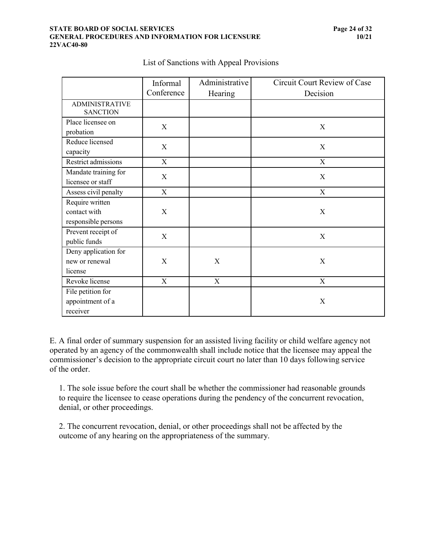#### **STATE BOARD OF SOCIAL SERVICES Page 24 of 32 GENERAL PROCEDURES AND INFORMATION FOR LICENSURE 10/21 22VAC40-80**

|                                                        | Informal                  | Administrative            | Circuit Court Review of Case |
|--------------------------------------------------------|---------------------------|---------------------------|------------------------------|
|                                                        | Conference                | Hearing                   | Decision                     |
| <b>ADMINISTRATIVE</b><br><b>SANCTION</b>               |                           |                           |                              |
| Place licensee on<br>probation                         | X                         |                           | X                            |
| Reduce licensed<br>capacity                            | X                         |                           | X                            |
| Restrict admissions                                    | $\boldsymbol{\mathrm{X}}$ |                           | X                            |
| Mandate training for<br>licensee or staff              | X                         |                           | X                            |
| Assess civil penalty                                   | $\mathbf X$               |                           | $\mathbf X$                  |
| Require written<br>contact with<br>responsible persons | $\boldsymbol{\mathrm{X}}$ |                           | X                            |
| Prevent receipt of<br>public funds                     | X                         |                           | X                            |
| Deny application for<br>new or renewal<br>license      | $\boldsymbol{\mathrm{X}}$ | $\boldsymbol{\mathrm{X}}$ | X                            |
| Revoke license                                         | X                         | X                         | X                            |
| File petition for<br>appointment of a<br>receiver      |                           |                           | X                            |

## List of Sanctions with Appeal Provisions

E. A final order of summary suspension for an assisted living facility or child welfare agency not operated by an agency of the commonwealth shall include notice that the licensee may appeal the commissioner's decision to the appropriate circuit court no later than 10 days following service of the order.

1. The sole issue before the court shall be whether the commissioner had reasonable grounds to require the licensee to cease operations during the pendency of the concurrent revocation, denial, or other proceedings.

<span id="page-29-0"></span>2. The concurrent revocation, denial, or other proceedings shall not be affected by the outcome of any hearing on the appropriateness of the summary.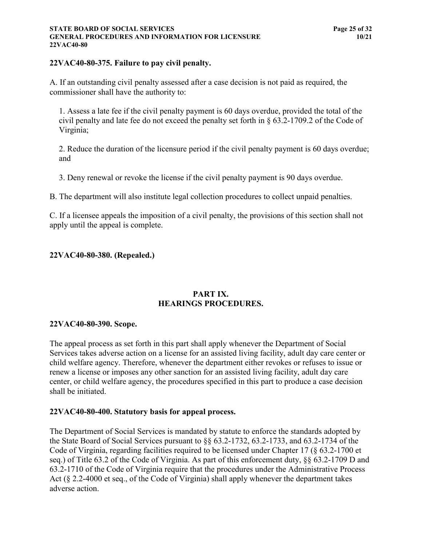#### **STATE BOARD OF SOCIAL SERVICES Page 25 of 32 GENERAL PROCEDURES AND INFORMATION FOR LICENSURE 10/21 22VAC40-80**

#### **22VAC40-80-375. Failure to pay civil penalty.**

A. If an outstanding civil penalty assessed after a case decision is not paid as required, the commissioner shall have the authority to:

1. Assess a late fee if the civil penalty payment is 60 days overdue, provided the total of the civil penalty and late fee do not exceed the penalty set forth in § 63.2-1709.2 of the Code of Virginia;

2. Reduce the duration of the licensure period if the civil penalty payment is 60 days overdue; and

3. Deny renewal or revoke the license if the civil penalty payment is 90 days overdue.

B. The department will also institute legal collection procedures to collect unpaid penalties.

C. If a licensee appeals the imposition of a civil penalty, the provisions of this section shall not apply until the appeal is complete.

#### <span id="page-30-0"></span>**22VAC40-80-380. (Repealed.)**

#### **PART IX. HEARINGS PROCEDURES.**

#### <span id="page-30-1"></span>**22VAC40-80-390. Scope.**

The appeal process as set forth in this part shall apply whenever the Department of Social Services takes adverse action on a license for an assisted living facility, adult day care center or child welfare agency. Therefore, whenever the department either revokes or refuses to issue or renew a license or imposes any other sanction for an assisted living facility, adult day care center, or child welfare agency, the procedures specified in this part to produce a case decision shall be initiated.

#### <span id="page-30-2"></span>**22VAC40-80-400. Statutory basis for appeal process.**

The Department of Social Services is mandated by statute to enforce the standards adopted by the State Board of Social Services pursuant to §§ 63.2-1732, 63.2-1733, and 63.2-1734 of the Code of Virginia, regarding facilities required to be licensed under Chapter 17 (§ 63.2-1700 et seq.) of Title 63.2 of the Code of Virginia. As part of this enforcement duty, §§ 63.2-1709 D and 63.2-1710 of the Code of Virginia require that the procedures under the Administrative Process Act (§ 2.2-4000 et seq., of the Code of Virginia) shall apply whenever the department takes adverse action.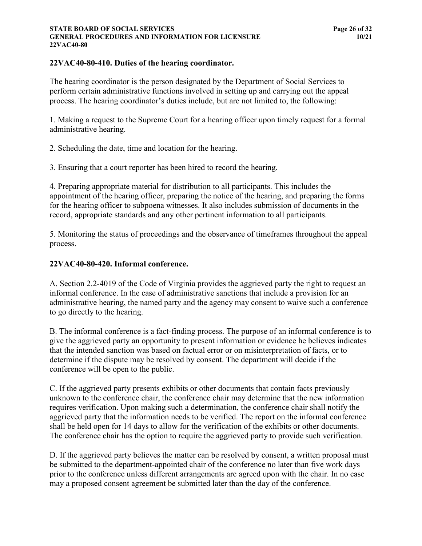#### **STATE BOARD OF SOCIAL SERVICES Page 26 of 32 GENERAL PROCEDURES AND INFORMATION FOR LICENSURE 10/21 22VAC40-80**

## <span id="page-31-0"></span>**22VAC40-80-410. Duties of the hearing coordinator.**

The hearing coordinator is the person designated by the Department of Social Services to perform certain administrative functions involved in setting up and carrying out the appeal process. The hearing coordinator's duties include, but are not limited to, the following:

1. Making a request to the Supreme Court for a hearing officer upon timely request for a formal administrative hearing.

2. Scheduling the date, time and location for the hearing.

3. Ensuring that a court reporter has been hired to record the hearing.

4. Preparing appropriate material for distribution to all participants. This includes the appointment of the hearing officer, preparing the notice of the hearing, and preparing the forms for the hearing officer to subpoena witnesses. It also includes submission of documents in the record, appropriate standards and any other pertinent information to all participants.

5. Monitoring the status of proceedings and the observance of timeframes throughout the appeal process.

## <span id="page-31-1"></span>**22VAC40-80-420. Informal conference.**

A. Section 2.2-4019 of the Code of Virginia provides the aggrieved party the right to request an informal conference. In the case of administrative sanctions that include a provision for an administrative hearing, the named party and the agency may consent to waive such a conference to go directly to the hearing.

B. The informal conference is a fact-finding process. The purpose of an informal conference is to give the aggrieved party an opportunity to present information or evidence he believes indicates that the intended sanction was based on factual error or on misinterpretation of facts, or to determine if the dispute may be resolved by consent. The department will decide if the conference will be open to the public.

C. If the aggrieved party presents exhibits or other documents that contain facts previously unknown to the conference chair, the conference chair may determine that the new information requires verification. Upon making such a determination, the conference chair shall notify the aggrieved party that the information needs to be verified. The report on the informal conference shall be held open for 14 days to allow for the verification of the exhibits or other documents. The conference chair has the option to require the aggrieved party to provide such verification.

D. If the aggrieved party believes the matter can be resolved by consent, a written proposal must be submitted to the department-appointed chair of the conference no later than five work days prior to the conference unless different arrangements are agreed upon with the chair. In no case may a proposed consent agreement be submitted later than the day of the conference.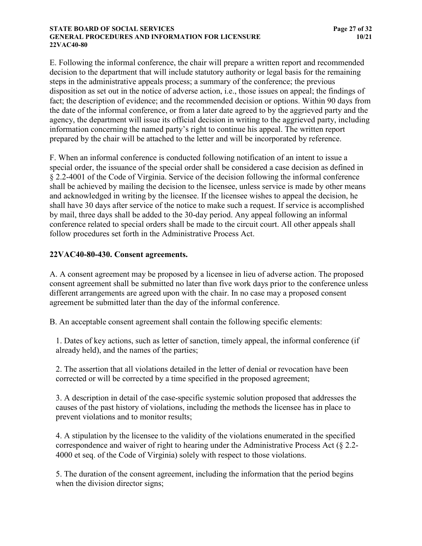#### **STATE BOARD OF SOCIAL SERVICES Page 27 of 32 GENERAL PROCEDURES AND INFORMATION FOR LICENSURE 10/21 22VAC40-80**

E. Following the informal conference, the chair will prepare a written report and recommended decision to the department that will include statutory authority or legal basis for the remaining steps in the administrative appeals process; a summary of the conference; the previous disposition as set out in the notice of adverse action, i.e., those issues on appeal; the findings of fact; the description of evidence; and the recommended decision or options. Within 90 days from the date of the informal conference, or from a later date agreed to by the aggrieved party and the agency, the department will issue its official decision in writing to the aggrieved party, including information concerning the named party's right to continue his appeal. The written report prepared by the chair will be attached to the letter and will be incorporated by reference.

F. When an informal conference is conducted following notification of an intent to issue a special order, the issuance of the special order shall be considered a case decision as defined in § 2.2-4001 of the Code of Virginia. Service of the decision following the informal conference shall be achieved by mailing the decision to the licensee, unless service is made by other means and acknowledged in writing by the licensee. If the licensee wishes to appeal the decision, he shall have 30 days after service of the notice to make such a request. If service is accomplished by mail, three days shall be added to the 30-day period. Any appeal following an informal conference related to special orders shall be made to the circuit court. All other appeals shall follow procedures set forth in the Administrative Process Act.

## <span id="page-32-0"></span>**22VAC40-80-430. Consent agreements.**

A. A consent agreement may be proposed by a licensee in lieu of adverse action. The proposed consent agreement shall be submitted no later than five work days prior to the conference unless different arrangements are agreed upon with the chair. In no case may a proposed consent agreement be submitted later than the day of the informal conference.

B. An acceptable consent agreement shall contain the following specific elements:

1. Dates of key actions, such as letter of sanction, timely appeal, the informal conference (if already held), and the names of the parties;

2. The assertion that all violations detailed in the letter of denial or revocation have been corrected or will be corrected by a time specified in the proposed agreement;

3. A description in detail of the case-specific systemic solution proposed that addresses the causes of the past history of violations, including the methods the licensee has in place to prevent violations and to monitor results;

4. A stipulation by the licensee to the validity of the violations enumerated in the specified correspondence and waiver of right to hearing under the Administrative Process Act (§ 2.2- 4000 et seq. of the Code of Virginia) solely with respect to those violations.

5. The duration of the consent agreement, including the information that the period begins when the division director signs;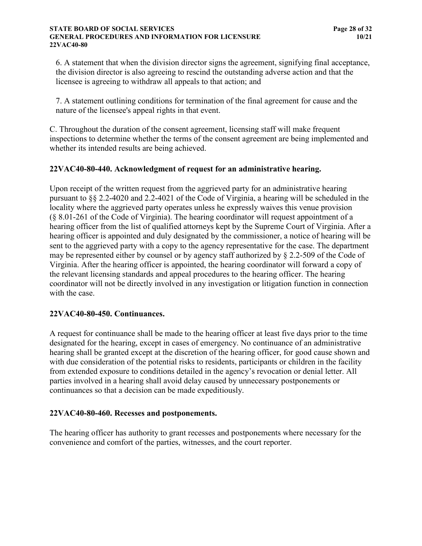#### **STATE BOARD OF SOCIAL SERVICES Page 28 of 32 GENERAL PROCEDURES AND INFORMATION FOR LICENSURE 10/21 22VAC40-80**

6. A statement that when the division director signs the agreement, signifying final acceptance, the division director is also agreeing to rescind the outstanding adverse action and that the licensee is agreeing to withdraw all appeals to that action; and

7. A statement outlining conditions for termination of the final agreement for cause and the nature of the licensee's appeal rights in that event.

C. Throughout the duration of the consent agreement, licensing staff will make frequent inspections to determine whether the terms of the consent agreement are being implemented and whether its intended results are being achieved.

## <span id="page-33-0"></span>**22VAC40-80-440. Acknowledgment of request for an administrative hearing.**

Upon receipt of the written request from the aggrieved party for an administrative hearing pursuant to §§ 2.2-4020 and 2.2-4021 of the Code of Virginia, a hearing will be scheduled in the locality where the aggrieved party operates unless he expressly waives this venue provision (§ 8.01-261 of the Code of Virginia). The hearing coordinator will request appointment of a hearing officer from the list of qualified attorneys kept by the Supreme Court of Virginia. After a hearing officer is appointed and duly designated by the commissioner, a notice of hearing will be sent to the aggrieved party with a copy to the agency representative for the case. The department may be represented either by counsel or by agency staff authorized by § 2.2-509 of the Code of Virginia. After the hearing officer is appointed, the hearing coordinator will forward a copy of the relevant licensing standards and appeal procedures to the hearing officer. The hearing coordinator will not be directly involved in any investigation or litigation function in connection with the case.

#### <span id="page-33-1"></span>**22VAC40-80-450. Continuances.**

A request for continuance shall be made to the hearing officer at least five days prior to the time designated for the hearing, except in cases of emergency. No continuance of an administrative hearing shall be granted except at the discretion of the hearing officer, for good cause shown and with due consideration of the potential risks to residents, participants or children in the facility from extended exposure to conditions detailed in the agency's revocation or denial letter. All parties involved in a hearing shall avoid delay caused by unnecessary postponements or continuances so that a decision can be made expeditiously.

#### <span id="page-33-2"></span>**22VAC40-80-460. Recesses and postponements.**

The hearing officer has authority to grant recesses and postponements where necessary for the convenience and comfort of the parties, witnesses, and the court reporter.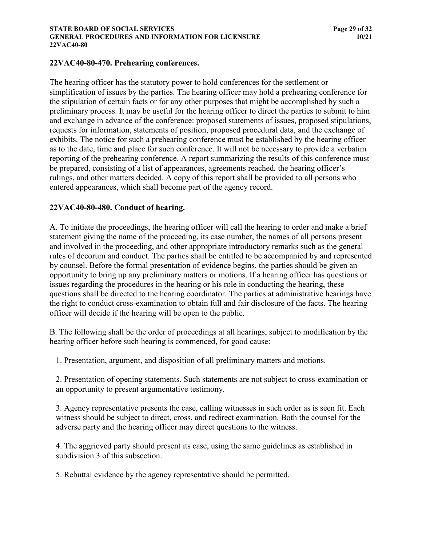#### <span id="page-34-0"></span>**22VAC40-80-470. Prehearing conferences.**

The hearing officer has the statutory power to hold conferences for the settlement or simplification of issues by the parties. The hearing officer may hold a prehearing conference for the stipulation of certain facts or for any other purposes that might be accomplished by such a preliminary process. It may be useful for the hearing officer to direct the parties to submit to him and exchange in advance of the conference: proposed statements of issues, proposed stipulations, requests for information, statements of position, proposed procedural data, and the exchange of exhibits. The notice for such a prehearing conference must be established by the hearing officer as to the date, time and place for such conference. It will not be necessary to provide a verbatim reporting of the prehearing conference. A report summarizing the results of this conference must be prepared, consisting of a list of appearances, agreements reached, the hearing officer's rulings, and other matters decided. A copy of this report shall be provided to all persons who entered appearances, which shall become part of the agency record.

## <span id="page-34-1"></span>**22VAC40-80-480. Conduct of hearing.**

A. To initiate the proceedings, the hearing officer will call the hearing to order and make a brief statement giving the name of the proceeding, its case number, the names of all persons present and involved in the proceeding, and other appropriate introductory remarks such as the general rules of decorum and conduct. The parties shall be entitled to be accompanied by and represented by counsel. Before the formal presentation of evidence begins, the parties should be given an opportunity to bring up any preliminary matters or motions. If a hearing officer has questions or issues regarding the procedures in the hearing or his role in conducting the hearing, these questions shall be directed to the hearing coordinator. The parties at administrative hearings have the right to conduct cross-examination to obtain full and fair disclosure of the facts. The hearing officer will decide if the hearing will be open to the public.

B. The following shall be the order of proceedings at all hearings, subject to modification by the hearing officer before such hearing is commenced, for good cause:

1. Presentation, argument, and disposition of all preliminary matters and motions.

2. Presentation of opening statements. Such statements are not subject to cross-examination or an opportunity to present argumentative testimony.

3. Agency representative presents the case, calling witnesses in such order as is seen fit. Each witness should be subject to direct, cross, and redirect examination. Both the counsel for the adverse party and the hearing officer may direct questions to the witness.

4. The aggrieved party should present its case, using the same guidelines as established in subdivision 3 of this subsection.

5. Rebuttal evidence by the agency representative should be permitted.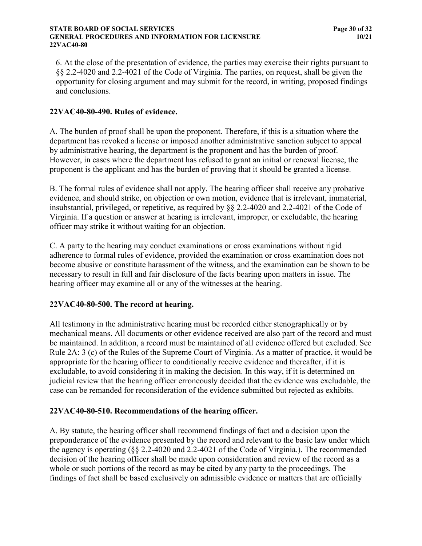#### **STATE BOARD OF SOCIAL SERVICES Page 30 of 32 GENERAL PROCEDURES AND INFORMATION FOR LICENSURE 10/21 22VAC40-80**

6. At the close of the presentation of evidence, the parties may exercise their rights pursuant to §§ 2.2-4020 and 2.2-4021 of the Code of Virginia. The parties, on request, shall be given the opportunity for closing argument and may submit for the record, in writing, proposed findings and conclusions.

## <span id="page-35-0"></span>**22VAC40-80-490. Rules of evidence.**

A. The burden of proof shall be upon the proponent. Therefore, if this is a situation where the department has revoked a license or imposed another administrative sanction subject to appeal by administrative hearing, the department is the proponent and has the burden of proof. However, in cases where the department has refused to grant an initial or renewal license, the proponent is the applicant and has the burden of proving that it should be granted a license.

B. The formal rules of evidence shall not apply. The hearing officer shall receive any probative evidence, and should strike, on objection or own motion, evidence that is irrelevant, immaterial, insubstantial, privileged, or repetitive, as required by §§ 2.2-4020 and 2.2-4021 of the Code of Virginia. If a question or answer at hearing is irrelevant, improper, or excludable, the hearing officer may strike it without waiting for an objection.

C. A party to the hearing may conduct examinations or cross examinations without rigid adherence to formal rules of evidence, provided the examination or cross examination does not become abusive or constitute harassment of the witness, and the examination can be shown to be necessary to result in full and fair disclosure of the facts bearing upon matters in issue. The hearing officer may examine all or any of the witnesses at the hearing.

#### <span id="page-35-1"></span>**22VAC40-80-500. The record at hearing.**

All testimony in the administrative hearing must be recorded either stenographically or by mechanical means. All documents or other evidence received are also part of the record and must be maintained. In addition, a record must be maintained of all evidence offered but excluded. See Rule 2A: 3 (c) of the Rules of the Supreme Court of Virginia. As a matter of practice, it would be appropriate for the hearing officer to conditionally receive evidence and thereafter, if it is excludable, to avoid considering it in making the decision. In this way, if it is determined on judicial review that the hearing officer erroneously decided that the evidence was excludable, the case can be remanded for reconsideration of the evidence submitted but rejected as exhibits.

#### <span id="page-35-2"></span>**22VAC40-80-510. Recommendations of the hearing officer.**

A. By statute, the hearing officer shall recommend findings of fact and a decision upon the preponderance of the evidence presented by the record and relevant to the basic law under which the agency is operating (§§ 2.2-4020 and 2.2-4021 of the Code of Virginia.). The recommended decision of the hearing officer shall be made upon consideration and review of the record as a whole or such portions of the record as may be cited by any party to the proceedings. The findings of fact shall be based exclusively on admissible evidence or matters that are officially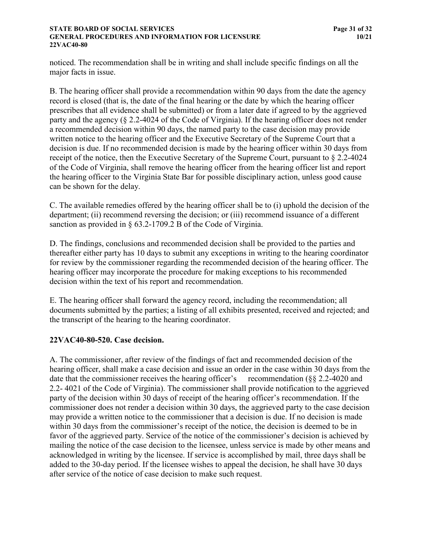#### **STATE BOARD OF SOCIAL SERVICES Page 31 of 32 GENERAL PROCEDURES AND INFORMATION FOR LICENSURE 10/21 22VAC40-80**

noticed. The recommendation shall be in writing and shall include specific findings on all the major facts in issue.

B. The hearing officer shall provide a recommendation within 90 days from the date the agency record is closed (that is, the date of the final hearing or the date by which the hearing officer prescribes that all evidence shall be submitted) or from a later date if agreed to by the aggrieved party and the agency (§ 2.2-4024 of the Code of Virginia). If the hearing officer does not render a recommended decision within 90 days, the named party to the case decision may provide written notice to the hearing officer and the Executive Secretary of the Supreme Court that a decision is due. If no recommended decision is made by the hearing officer within 30 days from receipt of the notice, then the Executive Secretary of the Supreme Court, pursuant to § 2.2-4024 of the Code of Virginia, shall remove the hearing officer from the hearing officer list and report the hearing officer to the Virginia State Bar for possible disciplinary action, unless good cause can be shown for the delay.

C. The available remedies offered by the hearing officer shall be to (i) uphold the decision of the department; (ii) recommend reversing the decision; or (iii) recommend issuance of a different sanction as provided in § 63.2-1709.2 B of the Code of Virginia.

D. The findings, conclusions and recommended decision shall be provided to the parties and thereafter either party has 10 days to submit any exceptions in writing to the hearing coordinator for review by the commissioner regarding the recommended decision of the hearing officer. The hearing officer may incorporate the procedure for making exceptions to his recommended decision within the text of his report and recommendation.

E. The hearing officer shall forward the agency record, including the recommendation; all documents submitted by the parties; a listing of all exhibits presented, received and rejected; and the transcript of the hearing to the hearing coordinator.

#### <span id="page-36-0"></span>**22VAC40-80-520. Case decision.**

A. The commissioner, after review of the findings of fact and recommended decision of the hearing officer, shall make a case decision and issue an order in the case within 30 days from the date that the commissioner receives the hearing officer's recommendation (§§ 2.2-4020 and 2.2- 4021 of the Code of Virginia). The commissioner shall provide notification to the aggrieved party of the decision within 30 days of receipt of the hearing officer's recommendation. If the commissioner does not render a decision within 30 days, the aggrieved party to the case decision may provide a written notice to the commissioner that a decision is due. If no decision is made within 30 days from the commissioner's receipt of the notice, the decision is deemed to be in favor of the aggrieved party. Service of the notice of the commissioner's decision is achieved by mailing the notice of the case decision to the licensee, unless service is made by other means and acknowledged in writing by the licensee. If service is accomplished by mail, three days shall be added to the 30-day period. If the licensee wishes to appeal the decision, he shall have 30 days after service of the notice of case decision to make such request.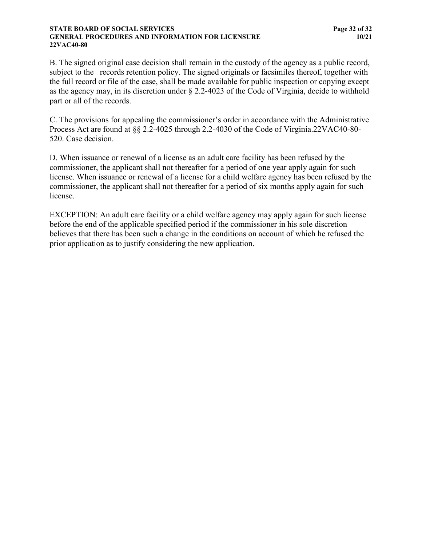#### **STATE BOARD OF SOCIAL SERVICES Page 32 of 32 GENERAL PROCEDURES AND INFORMATION FOR LICENSURE 10/21 22VAC40-80**

B. The signed original case decision shall remain in the custody of the agency as a public record, subject to the records retention policy. The signed originals or facsimiles thereof, together with the full record or file of the case, shall be made available for public inspection or copying except as the agency may, in its discretion under § 2.2-4023 of the Code of Virginia, decide to withhold part or all of the records.

C. The provisions for appealing the commissioner's order in accordance with the Administrative Process Act are found at §§ 2.2-4025 through 2.2-4030 of the Code of Virginia.22VAC40-80-520. Case decision.

D. When issuance or renewal of a license as an adult care facility has been refused by the commissioner, the applicant shall not thereafter for a period of one year apply again for such license. When issuance or renewal of a license for a child welfare agency has been refused by the commissioner, the applicant shall not thereafter for a period of six months apply again for such license.

EXCEPTION: An adult care facility or a child welfare agency may apply again for such license before the end of the applicable specified period if the commissioner in his sole discretion believes that there has been such a change in the conditions on account of which he refused the prior application as to justify considering the new application.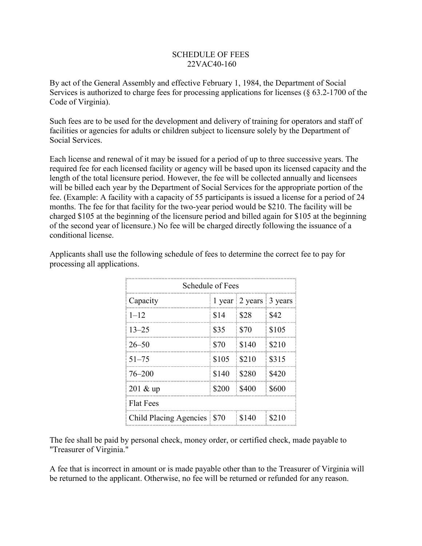## SCHEDULE OF FEES 22VAC40-160

By act of the General Assembly and effective February 1, 1984, the Department of Social Services is authorized to charge fees for processing applications for licenses (§ 63.2-1700 of the Code of Virginia).

Such fees are to be used for the development and delivery of training for operators and staff of facilities or agencies for adults or children subject to licensure solely by the Department of Social Services.

Each license and renewal of it may be issued for a period of up to three successive years. The required fee for each licensed facility or agency will be based upon its licensed capacity and the length of the total licensure period. However, the fee will be collected annually and licensees will be billed each year by the Department of Social Services for the appropriate portion of the fee. (Example: A facility with a capacity of 55 participants is issued a license for a period of 24 months. The fee for that facility for the two-year period would be \$210. The facility will be charged \$105 at the beginning of the licensure period and billed again for \$105 at the beginning of the second year of licensure.) No fee will be charged directly following the issuance of a conditional license.

| Schedule of Fees            |       |                                        |       |
|-----------------------------|-------|----------------------------------------|-------|
| Capacity                    |       | 1 year $\vert$ 2 years $\vert$ 3 years |       |
| $1 - 12$                    | \$14  | \$28                                   | \$42  |
| $13 - 25$                   | \$35  | \$70                                   | \$105 |
| $26 - 50$                   | \$70  | \$140                                  | \$210 |
| $51 - 75$                   | \$105 | \$210                                  | \$315 |
| 76–200                      | \$140 | \$280                                  | \$420 |
| $201 \& \text{up}$          | \$200 | \$400                                  | \$600 |
| <b>Flat Fees</b>            |       |                                        |       |
| Child Placing Agencies \$70 |       | \$140                                  | \$210 |

Applicants shall use the following schedule of fees to determine the correct fee to pay for processing all applications.

The fee shall be paid by personal check, money order, or certified check, made payable to "Treasurer of Virginia."

A fee that is incorrect in amount or is made payable other than to the Treasurer of Virginia will be returned to the applicant. Otherwise, no fee will be returned or refunded for any reason.